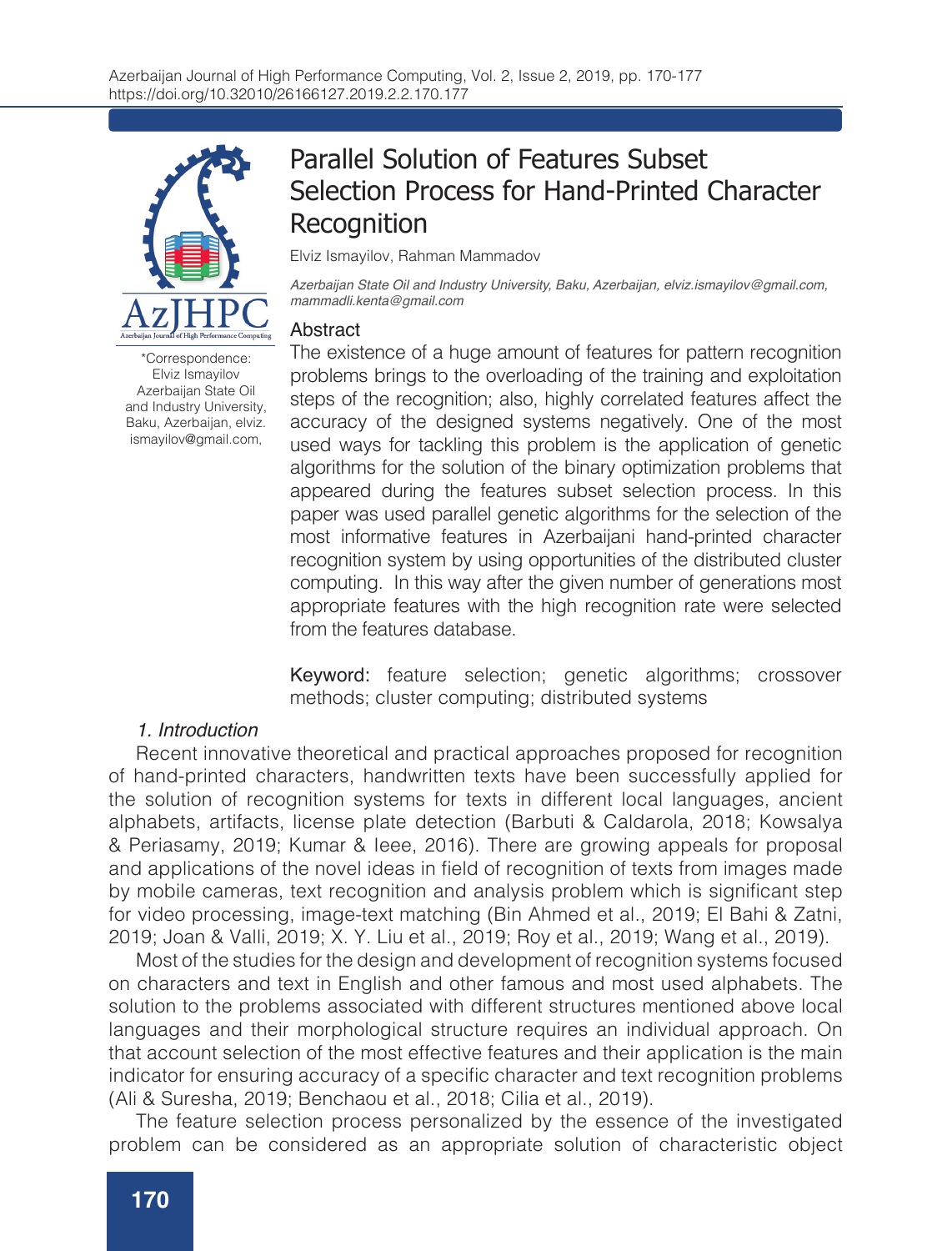

\*Correspondence: Elviz Ismayilov Azerbaijan State Oil and Industry University, Baku, Azerbaijan, elviz. ismayilov@gmail.com,

# Parallel Solution of Features Subset Selection Process for Hand-Printed Character **Recognition**

Elviz Ismayilov, Rahman Mammadov

*Azerbaijan State Oil and Industry University, Baku, Azerbaijan, elviz.ismayilov@gmail.com, mammadli.kenta@gmail.com*

#### Abstract

The existence of a huge amount of features for pattern recognition problems brings to the overloading of the training and exploitation steps of the recognition; also, highly correlated features affect the accuracy of the designed systems negatively. One of the most used ways for tackling this problem is the application of genetic algorithms for the solution of the binary optimization problems that appeared during the features subset selection process. In this paper was used parallel genetic algorithms for the selection of the most informative features in Azerbaijani hand-printed character recognition system by using opportunities of the distributed cluster computing. In this way after the given number of generations most appropriate features with the high recognition rate were selected from the features database.

Keyword: feature selection; genetic algorithms; crossover methods; cluster computing; distributed systems

#### *1. Introduction*

Recent innovative theoretical and practical approaches proposed for recognition of hand-printed characters, handwritten texts have been successfully applied for the solution of recognition systems for texts in different local languages, ancient alphabets, artifacts, license plate detection (Barbuti & Caldarola, 2018; Kowsalya & Periasamy, 2019; Kumar & Ieee, 2016). There are growing appeals for proposal and applications of the novel ideas in field of recognition of texts from images made by mobile cameras, text recognition and analysis problem which is significant step for video processing, image-text matching (Bin Ahmed et al., 2019; El Bahi & Zatni, 2019; Joan & Valli, 2019; X. Y. Liu et al., 2019; Roy et al., 2019; Wang et al., 2019).

Most of the studies for the design and development of recognition systems focused on characters and text in English and other famous and most used alphabets. The solution to the problems associated with different structures mentioned above local languages and their morphological structure requires an individual approach. On that account selection of the most effective features and their application is the main indicator for ensuring accuracy of a specific character and text recognition problems (Ali & Suresha, 2019; Benchaou et al., 2018; Cilia et al., 2019).

The feature selection process personalized by the essence of the investigated problem can be considered as an appropriate solution of characteristic object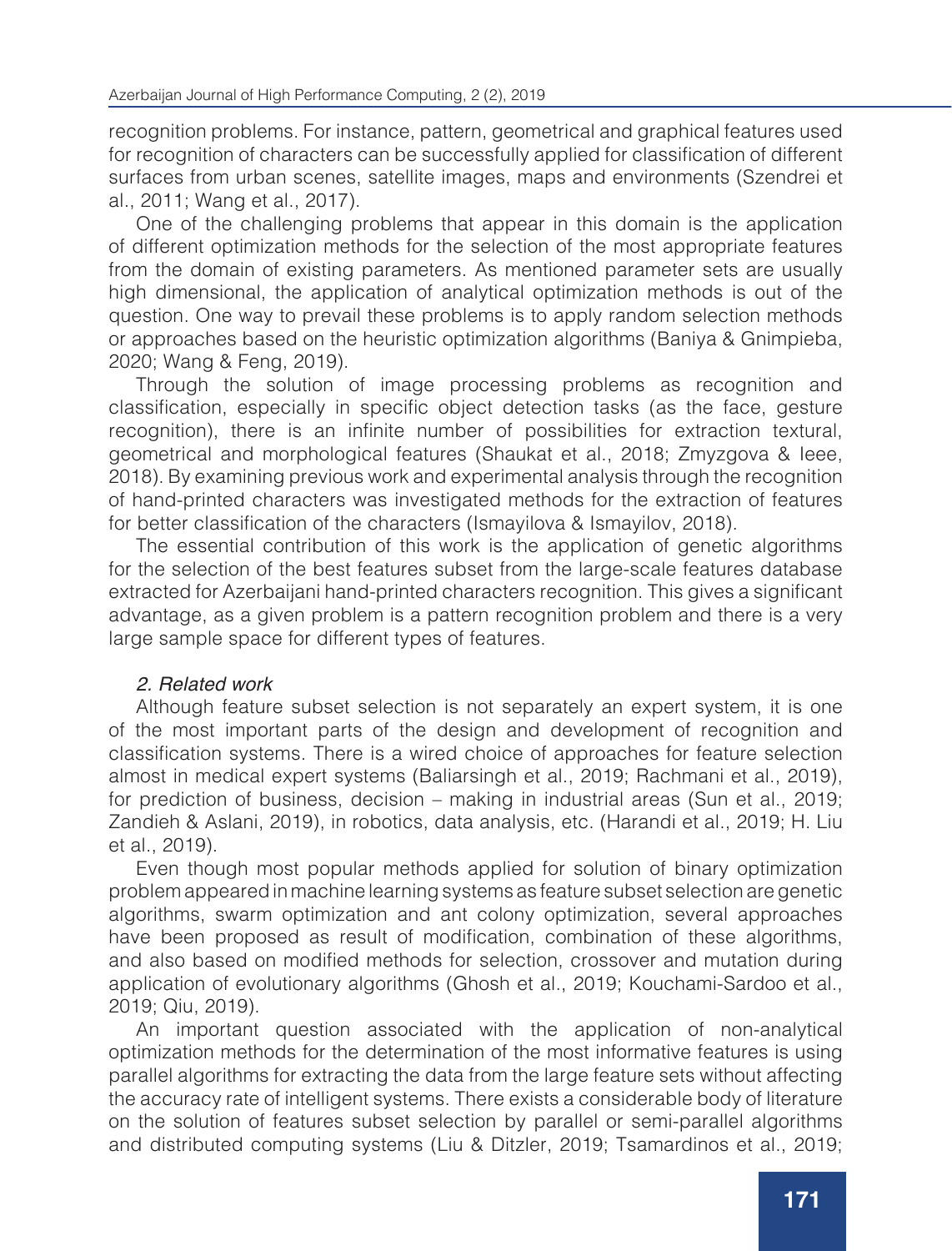recognition problems. For instance, pattern, geometrical and graphical features used for recognition of characters can be successfully applied for classification of different surfaces from urban scenes, satellite images, maps and environments (Szendrei et al., 2011; Wang et al., 2017).

One of the challenging problems that appear in this domain is the application of different optimization methods for the selection of the most appropriate features from the domain of existing parameters. As mentioned parameter sets are usually high dimensional, the application of analytical optimization methods is out of the question. One way to prevail these problems is to apply random selection methods or approaches based on the heuristic optimization algorithms (Baniya & Gnimpieba, 2020; Wang & Feng, 2019).

Through the solution of image processing problems as recognition and classification, especially in specific object detection tasks (as the face, gesture recognition), there is an infinite number of possibilities for extraction textural, geometrical and morphological features (Shaukat et al., 2018; Zmyzgova & Ieee, 2018). By examining previous work and experimental analysis through the recognition of hand-printed characters was investigated methods for the extraction of features for better classification of the characters (Ismayilova & Ismayilov, 2018).

The essential contribution of this work is the application of genetic algorithms for the selection of the best features subset from the large-scale features database extracted for Azerbaijani hand-printed characters recognition. This gives a significant advantage, as a given problem is a pattern recognition problem and there is a very large sample space for different types of features.

## *2. Related work*

Although feature subset selection is not separately an expert system, it is one of the most important parts of the design and development of recognition and classification systems. There is a wired choice of approaches for feature selection almost in medical expert systems (Baliarsingh et al., 2019; Rachmani et al., 2019), for prediction of business, decision – making in industrial areas (Sun et al., 2019; Zandieh & Aslani, 2019), in robotics, data analysis, etc. (Harandi et al., 2019; H. Liu et al., 2019).

Even though most popular methods applied for solution of binary optimization problem appeared in machine learning systems as feature subset selection are genetic algorithms, swarm optimization and ant colony optimization, several approaches have been proposed as result of modification, combination of these algorithms, and also based on modified methods for selection, crossover and mutation during application of evolutionary algorithms (Ghosh et al., 2019; Kouchami-Sardoo et al., 2019; Qiu, 2019).

An important question associated with the application of non-analytical optimization methods for the determination of the most informative features is using parallel algorithms for extracting the data from the large feature sets without affecting the accuracy rate of intelligent systems. There exists a considerable body of literature on the solution of features subset selection by parallel or semi-parallel algorithms and distributed computing systems (Liu & Ditzler, 2019; Tsamardinos et al., 2019;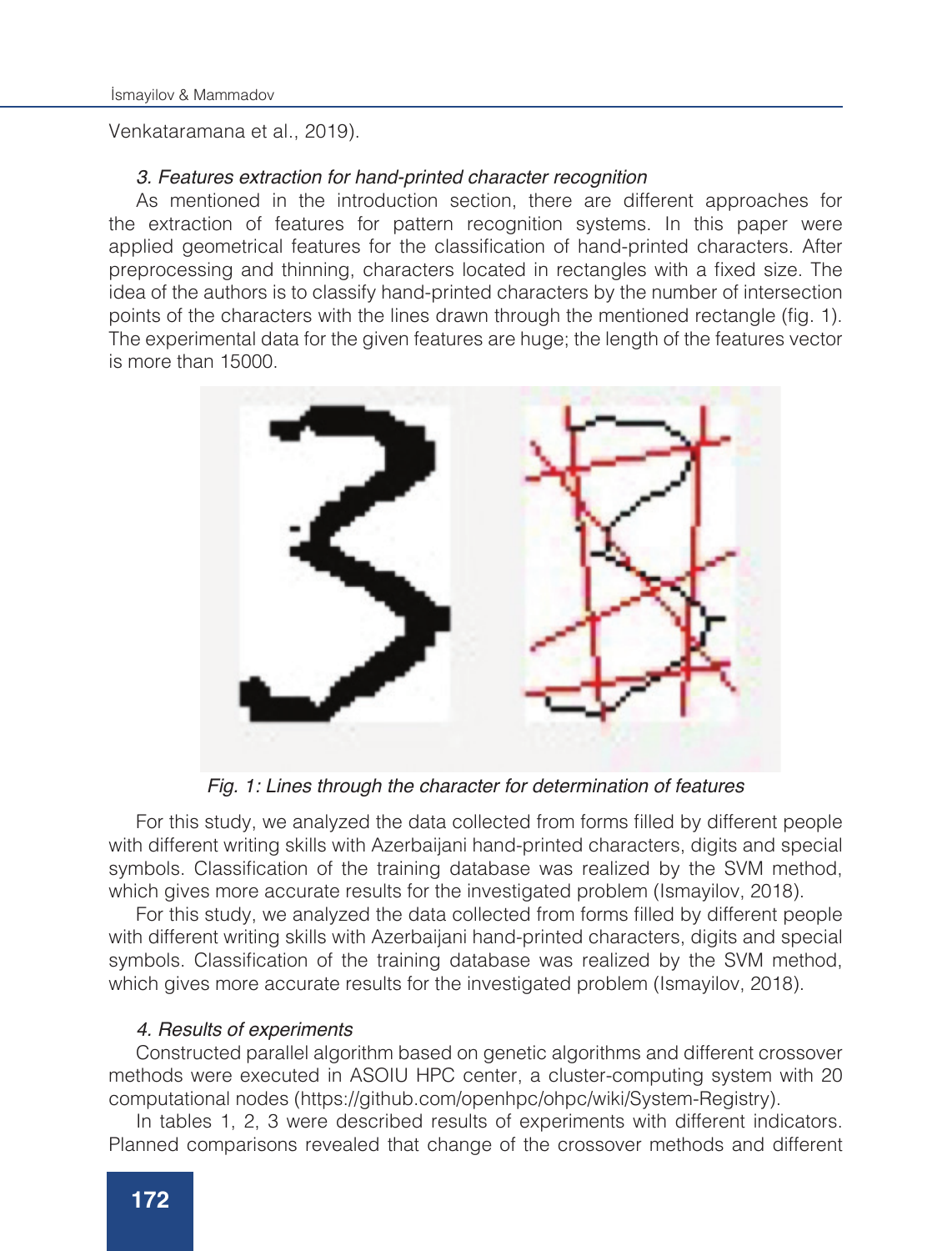Venkataramana et al., 2019).

#### *3. Features extraction for hand-printed character recognition*

As mentioned in the introduction section, there are different approaches for the extraction of features for pattern recognition systems. In this paper were applied geometrical features for the classification of hand-printed characters. After preprocessing and thinning, characters located in rectangles with a fixed size. The idea of the authors is to classify hand-printed characters by the number of intersection points of the characters with the lines drawn through the mentioned rectangle (fig. 1). The experimental data for the given features are huge; the length of the features vector is more than 15000.



*Fig. 1: Lines through the character for determination of features*

For this study, we analyzed the data collected from forms filled by different people with different writing skills with Azerbaijani hand-printed characters, digits and special symbols. Classification of the training database was realized by the SVM method, which gives more accurate results for the investigated problem (Ismayilov, 2018).

For this study, we analyzed the data collected from forms filled by different people with different writing skills with Azerbaijani hand-printed characters, digits and special symbols. Classification of the training database was realized by the SVM method, which gives more accurate results for the investigated problem (Ismayilov, 2018).

### *4. Results of experiments*

Constructed parallel algorithm based on genetic algorithms and different crossover methods were executed in ASOIU HPC center, a cluster-computing system with 20 computational nodes (https://github.com/openhpc/ohpc/wiki/System-Registry).

In tables 1, 2, 3 were described results of experiments with different indicators. Planned comparisons revealed that change of the crossover methods and different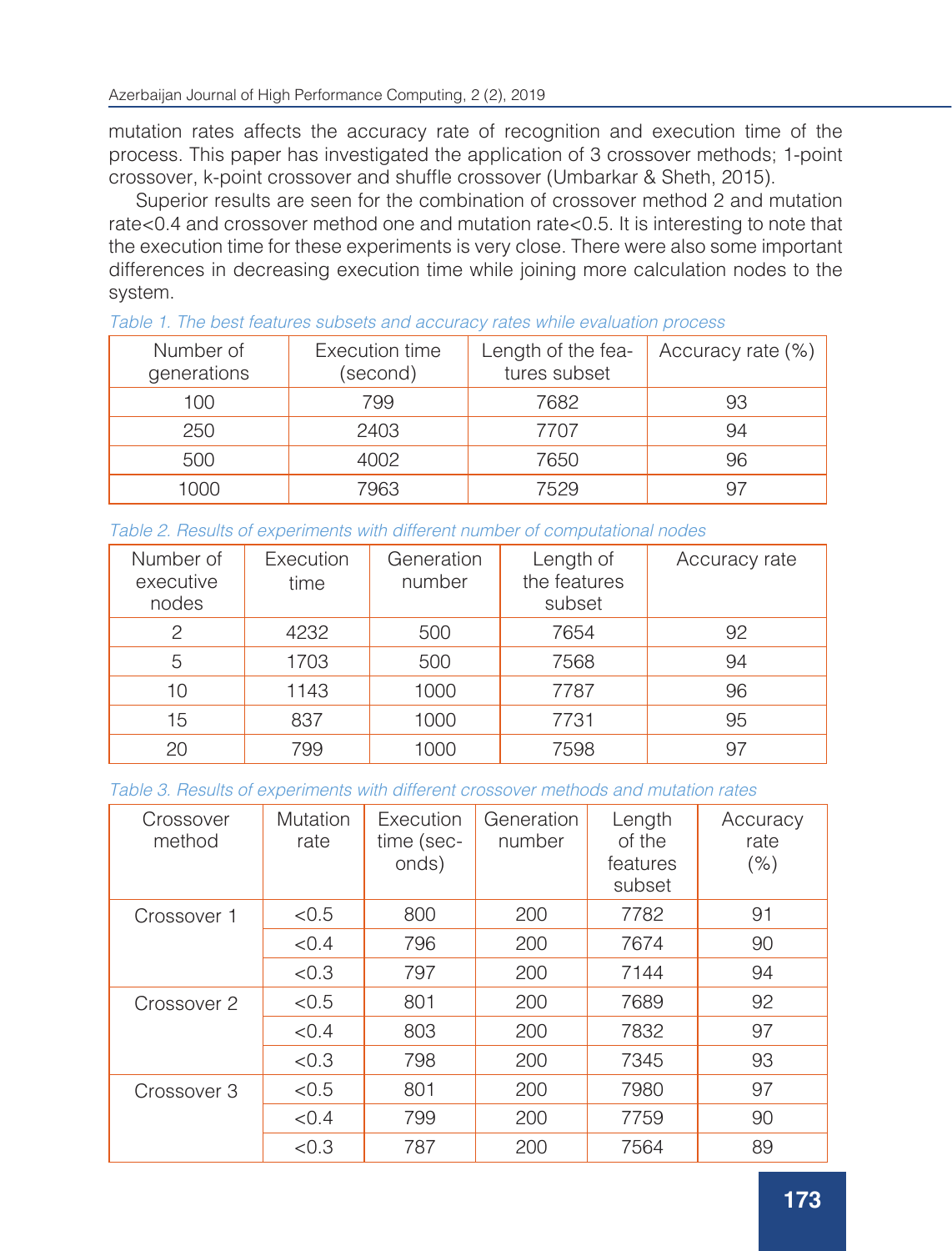mutation rates affects the accuracy rate of recognition and execution time of the process. This paper has investigated the application of 3 crossover methods; 1-point crossover, k-point crossover and shuffle crossover (Umbarkar & Sheth, 2015).

Superior results are seen for the combination of crossover method 2 and mutation rate<0.4 and crossover method one and mutation rate<0.5. It is interesting to note that the execution time for these experiments is very close. There were also some important differences in decreasing execution time while joining more calculation nodes to the system.

| Number of<br>generations | Execution time<br>(second) | Length of the fea-<br>tures subset | Accuracy rate (%) |
|--------------------------|----------------------------|------------------------------------|-------------------|
| 100                      | 799                        | 7682                               | 93                |
| 250                      | 2403                       | 7707                               | 94                |
| 500                      | 4002                       | 7650                               | 96                |
| 1000                     | 7963                       | 7529                               |                   |

*Table 2. Results of experiments with different number of computational nodes*

| Number of<br>executive<br>nodes | Execution<br>time | Generation<br>number | Length of<br>the features<br>subset | Accuracy rate |
|---------------------------------|-------------------|----------------------|-------------------------------------|---------------|
| $\mathcal{P}$                   | 4232              | 500                  | 7654                                | 92            |
| 5                               | 1703              | 500                  | 7568                                | 94            |
| 10                              | 1143              | 1000                 | 7787                                | 96            |
| 15                              | 837               | 1000                 | 7731                                | 95            |
| 20                              | 799               | 1000                 | 7598                                | 97            |

*Table 3. Results of experiments with different crossover methods and mutation rates*

| Crossover<br>method | Mutation<br>rate | Execution<br>time (sec-<br>onds) | Generation<br>number | Length<br>of the<br>features<br>subset | Accuracy<br>rate<br>(% ) |
|---------------------|------------------|----------------------------------|----------------------|----------------------------------------|--------------------------|
| Crossover 1         | < 0.5            | 800                              | 200                  | 7782                                   | 91                       |
|                     | < 0.4            | 796                              | 200                  | 7674                                   | 90                       |
|                     | < 0.3            | 797                              | 200                  | 7144                                   | 94                       |
| Crossover 2         | < 0.5            | 801                              | 200                  | 7689                                   | 92                       |
|                     | < 0.4            | 803                              | 200                  | 7832                                   | 97                       |
|                     | < 0.3            | 798                              | 200                  | 7345                                   | 93                       |
| Crossover 3         | < 0.5            | 801                              | 200                  | 7980                                   | 97                       |
|                     | < 0.4            | 799                              | 200                  | 7759                                   | 90                       |
|                     | < 0.3            | 787                              | 200                  | 7564                                   | 89                       |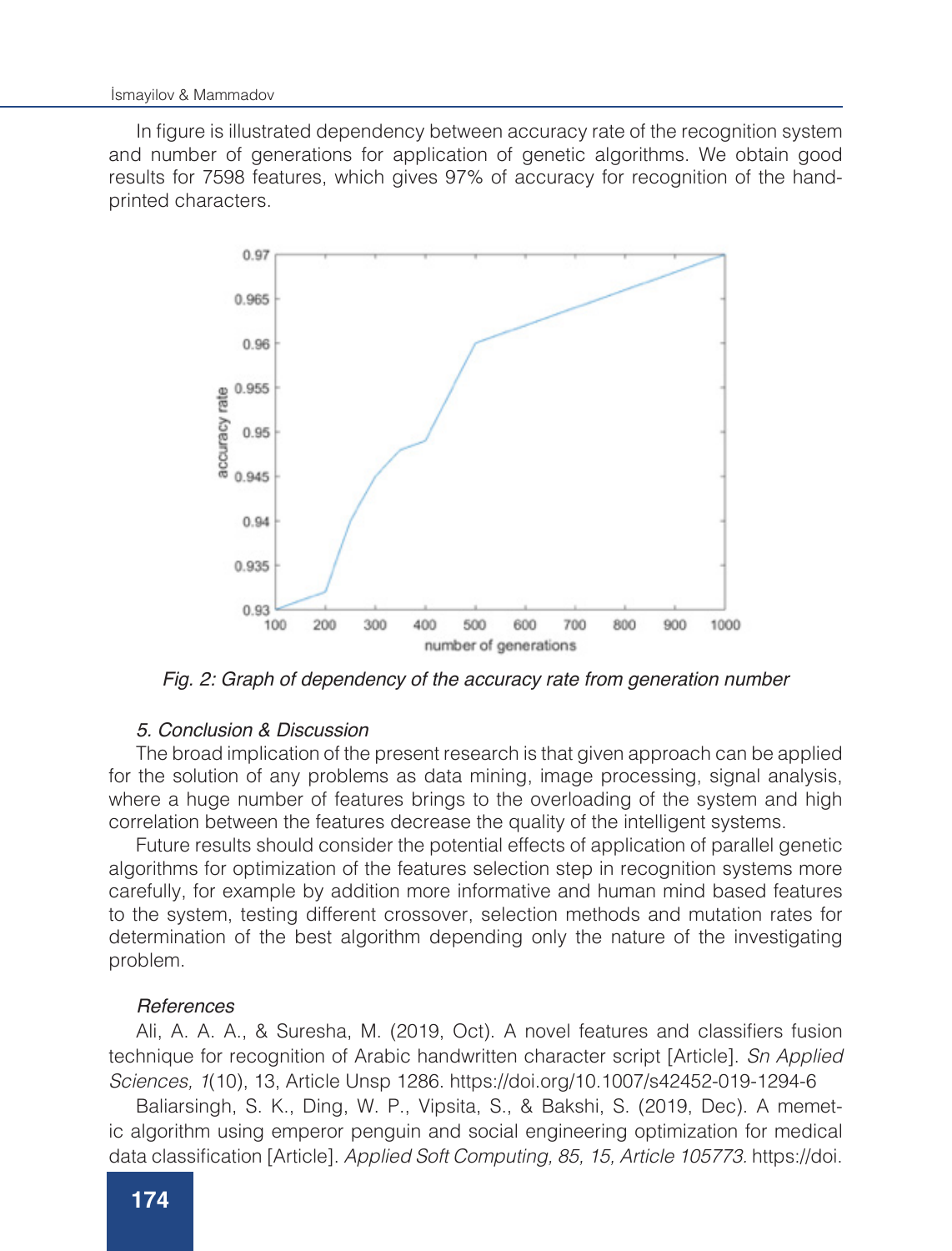In figure is illustrated dependency between accuracy rate of the recognition system and number of generations for application of genetic algorithms. We obtain good results for 7598 features, which gives 97% of accuracy for recognition of the handprinted characters.



*Fig. 2: Graph of dependency of the accuracy rate from generation number*

#### *5. Conclusion & Discussion*

The broad implication of the present research is that given approach can be applied for the solution of any problems as data mining, image processing, signal analysis, where a huge number of features brings to the overloading of the system and high correlation between the features decrease the quality of the intelligent systems.

Future results should consider the potential effects of application of parallel genetic algorithms for optimization of the features selection step in recognition systems more carefully, for example by addition more informative and human mind based features to the system, testing different crossover, selection methods and mutation rates for determination of the best algorithm depending only the nature of the investigating problem.

#### *References*

Ali, A. A. A., & Suresha, M. (2019, Oct). A novel features and classifiers fusion technique for recognition of Arabic handwritten character script [Article]. *Sn Applied Sciences, 1*(10), 13, Article Unsp 1286. https://doi.org/10.1007/s42452-019-1294-6

Baliarsingh, S. K., Ding, W. P., Vipsita, S., & Bakshi, S. (2019, Dec). A memetic algorithm using emperor penguin and social engineering optimization for medical data classification [Article]. *Applied Soft Computing, 85, 15, Article 105773.* https://doi.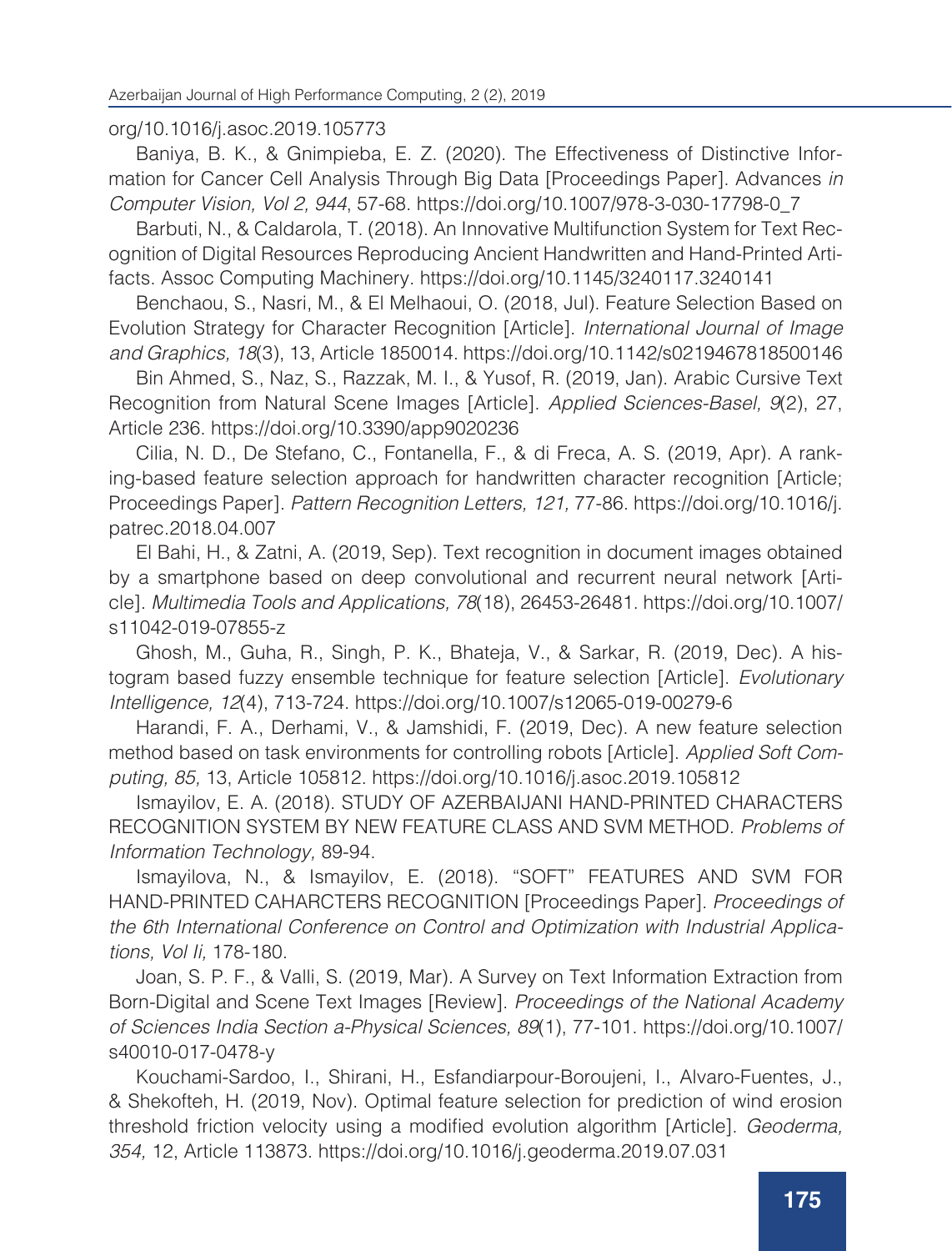## org/10.1016/j.asoc.2019.105773

Baniya, B. K., & Gnimpieba, E. Z. (2020). The Effectiveness of Distinctive Information for Cancer Cell Analysis Through Big Data [Proceedings Paper]. Advances *in Computer Vision, Vol 2, 944*, 57-68. https://doi.org/10.1007/978-3-030-17798-0\_7

Barbuti, N., & Caldarola, T. (2018). An Innovative Multifunction System for Text Recognition of Digital Resources Reproducing Ancient Handwritten and Hand-Printed Artifacts. Assoc Computing Machinery. https://doi.org/10.1145/3240117.3240141

Benchaou, S., Nasri, M., & El Melhaoui, O. (2018, Jul). Feature Selection Based on Evolution Strategy for Character Recognition [Article]. *International Journal of Image and Graphics, 18*(3), 13, Article 1850014. https://doi.org/10.1142/s0219467818500146

Bin Ahmed, S., Naz, S., Razzak, M. I., & Yusof, R. (2019, Jan). Arabic Cursive Text Recognition from Natural Scene Images [Article]. *Applied Sciences-Basel, 9*(2), 27, Article 236. https://doi.org/10.3390/app9020236

Cilia, N. D., De Stefano, C., Fontanella, F., & di Freca, A. S. (2019, Apr). A ranking-based feature selection approach for handwritten character recognition [Article; Proceedings Paper]. *Pattern Recognition Letters, 121,* 77-86. https://doi.org/10.1016/j. patrec.2018.04.007

El Bahi, H., & Zatni, A. (2019, Sep). Text recognition in document images obtained by a smartphone based on deep convolutional and recurrent neural network [Article]. *Multimedia Tools and Applications, 78*(18), 26453-26481. https://doi.org/10.1007/ s11042-019-07855-z

Ghosh, M., Guha, R., Singh, P. K., Bhateja, V., & Sarkar, R. (2019, Dec). A histogram based fuzzy ensemble technique for feature selection [Article]. *Evolutionary Intelligence, 12*(4), 713-724. https://doi.org/10.1007/s12065-019-00279-6

Harandi, F. A., Derhami, V., & Jamshidi, F. (2019, Dec). A new feature selection method based on task environments for controlling robots [Article]. *Applied Soft Computing, 85,* 13, Article 105812. https://doi.org/10.1016/j.asoc.2019.105812

Ismayilov, E. A. (2018). STUDY OF AZERBAIJANI HAND-PRINTED CHARACTERS RECOGNITION SYSTEM BY NEW FEATURE CLASS AND SVM METHOD. *Problems of Information Technology,* 89-94.

Ismayilova, N., & Ismayilov, E. (2018). "SOFT" FEATURES AND SVM FOR HAND-PRINTED CAHARCTERS RECOGNITION [Proceedings Paper]. *Proceedings of the 6th International Conference on Control and Optimization with Industrial Applications, Vol Ii,* 178-180.

Joan, S. P. F., & Valli, S. (2019, Mar). A Survey on Text Information Extraction from Born-Digital and Scene Text Images [Review]. *Proceedings of the National Academy of Sciences India Section a-Physical Sciences, 89*(1), 77-101. https://doi.org/10.1007/ s40010-017-0478-y

Kouchami-Sardoo, I., Shirani, H., Esfandiarpour-Boroujeni, I., Alvaro-Fuentes, J., & Shekofteh, H. (2019, Nov). Optimal feature selection for prediction of wind erosion threshold friction velocity using a modified evolution algorithm [Article]. *Geoderma, 354,* 12, Article 113873. https://doi.org/10.1016/j.geoderma.2019.07.031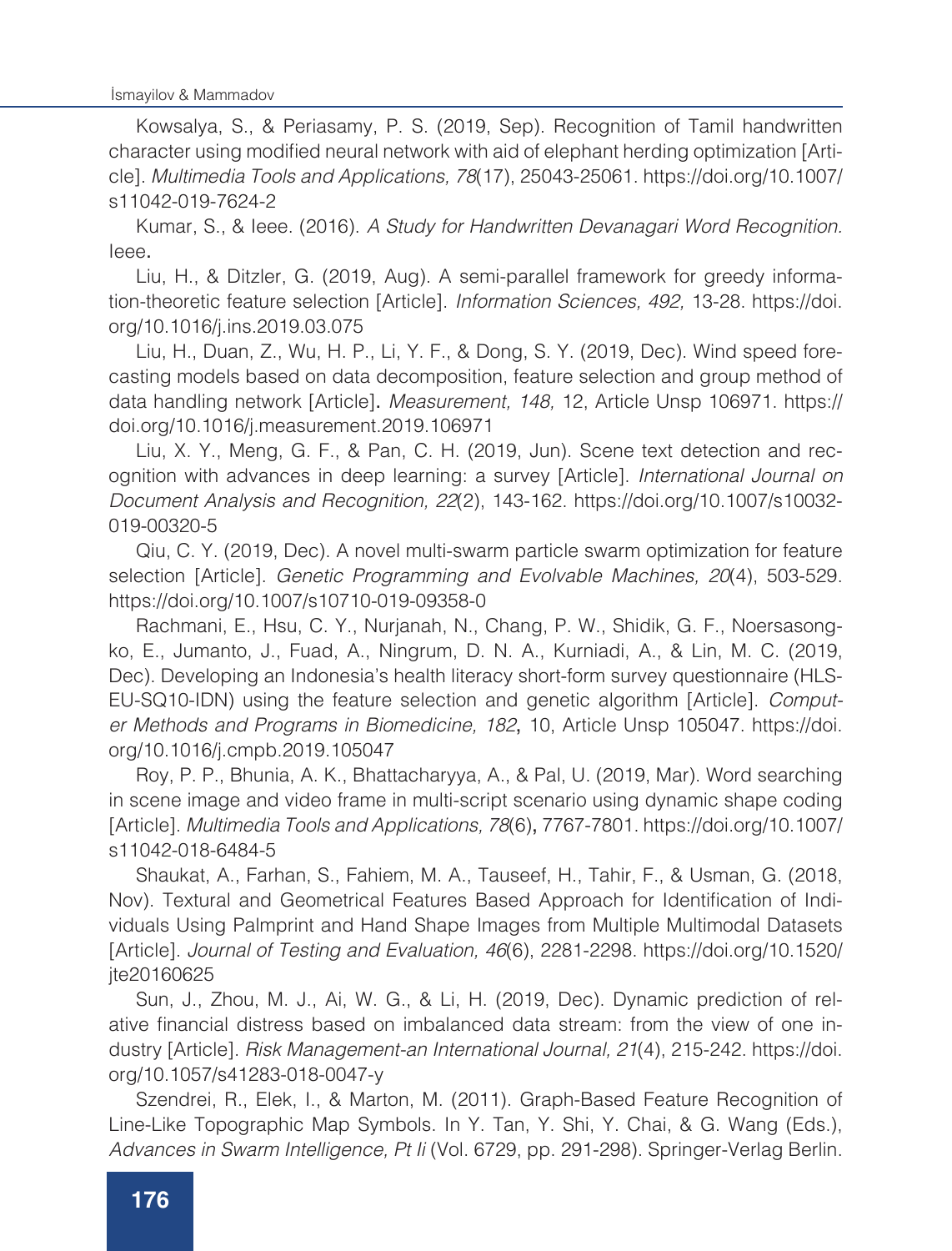Kowsalya, S., & Periasamy, P. S. (2019, Sep). Recognition of Tamil handwritten character using modified neural network with aid of elephant herding optimization [Article]. *Multimedia Tools and Applications, 78*(17), 25043-25061. https://doi.org/10.1007/ s11042-019-7624-2

Kumar, S., & Ieee. (2016). *A Study for Handwritten Devanagari Word Recognition.* Ieee.

Liu, H., & Ditzler, G. (2019, Aug). A semi-parallel framework for greedy information-theoretic feature selection [Article]. *Information Sciences, 492,* 13-28. https://doi. org/10.1016/j.ins.2019.03.075

Liu, H., Duan, Z., Wu, H. P., Li, Y. F., & Dong, S. Y. (2019, Dec). Wind speed forecasting models based on data decomposition, feature selection and group method of data handling network [Article]. *Measurement, 148,* 12, Article Unsp 106971. https:// doi.org/10.1016/j.measurement.2019.106971

Liu, X. Y., Meng, G. F., & Pan, C. H. (2019, Jun). Scene text detection and recognition with advances in deep learning: a survey [Article]. *International Journal on Document Analysis and Recognition, 22*(2), 143-162. https://doi.org/10.1007/s10032- 019-00320-5

Qiu, C. Y. (2019, Dec). A novel multi-swarm particle swarm optimization for feature selection [Article]. *Genetic Programming and Evolvable Machines, 20*(4), 503-529. https://doi.org/10.1007/s10710-019-09358-0

Rachmani, E., Hsu, C. Y., Nurjanah, N., Chang, P. W., Shidik, G. F., Noersasongko, E., Jumanto, J., Fuad, A., Ningrum, D. N. A., Kurniadi, A., & Lin, M. C. (2019, Dec). Developing an Indonesia's health literacy short-form survey questionnaire (HLS-EU-SQ10-IDN) using the feature selection and genetic algorithm [Article]. *Computer Methods and Programs in Biomedicine, 182*, 10, Article Unsp 105047. https://doi. org/10.1016/j.cmpb.2019.105047

Roy, P. P., Bhunia, A. K., Bhattacharyya, A., & Pal, U. (2019, Mar). Word searching in scene image and video frame in multi-script scenario using dynamic shape coding [Article]. *Multimedia Tools and Applications, 78*(6), 7767-7801. https://doi.org/10.1007/ s11042-018-6484-5

Shaukat, A., Farhan, S., Fahiem, M. A., Tauseef, H., Tahir, F., & Usman, G. (2018, Nov). Textural and Geometrical Features Based Approach for Identification of Individuals Using Palmprint and Hand Shape Images from Multiple Multimodal Datasets [Article]. *Journal of Testing and Evaluation, 46*(6), 2281-2298. https://doi.org/10.1520/ jte20160625

Sun, J., Zhou, M. J., Ai, W. G., & Li, H. (2019, Dec). Dynamic prediction of relative financial distress based on imbalanced data stream: from the view of one industry [Article]. *Risk Management-an International Journal, 21*(4), 215-242. https://doi. org/10.1057/s41283-018-0047-y

Szendrei, R., Elek, I., & Marton, M. (2011). Graph-Based Feature Recognition of Line-Like Topographic Map Symbols. In Y. Tan, Y. Shi, Y. Chai, & G. Wang (Eds.), *Advances in Swarm Intelligence, Pt Ii* (Vol. 6729, pp. 291-298). Springer-Verlag Berlin.